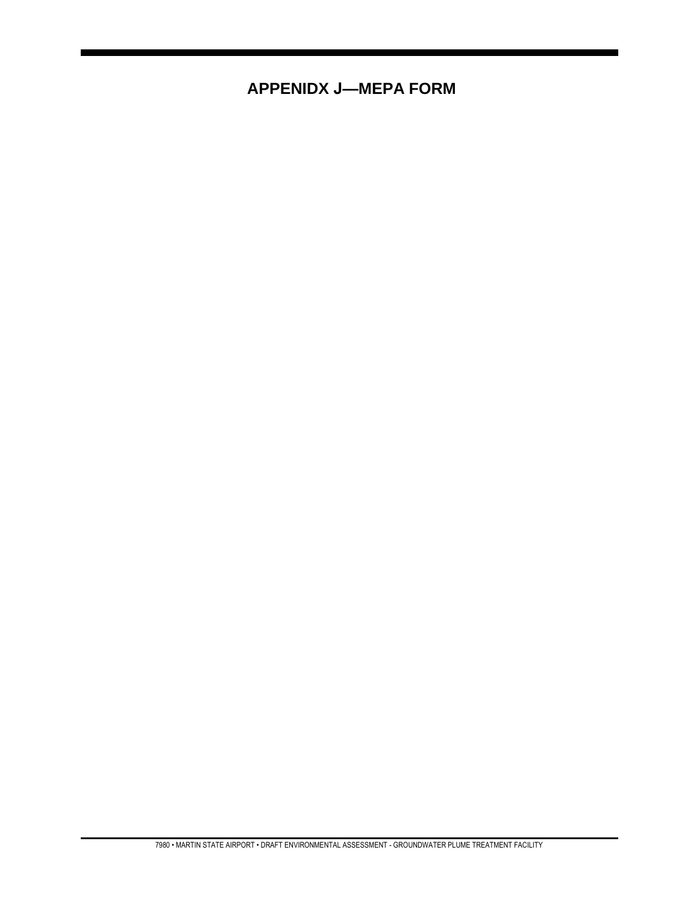## **APPENIDX J-MEPA FORM**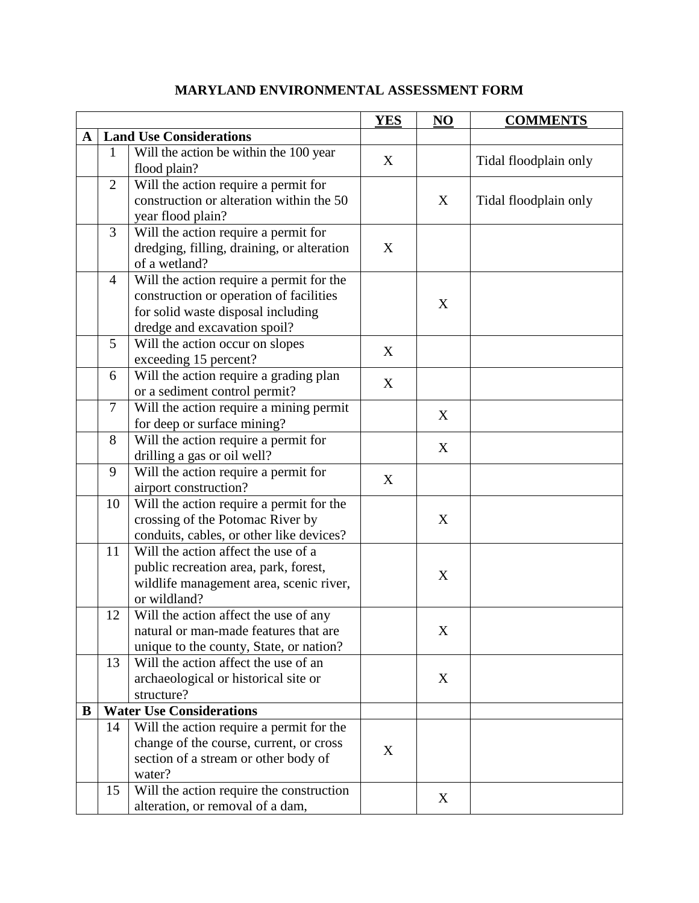|           |                                 |                                                                                                                                                           | <b>YES</b> | NO | <b>COMMENTS</b>       |
|-----------|---------------------------------|-----------------------------------------------------------------------------------------------------------------------------------------------------------|------------|----|-----------------------|
| ${\bf A}$ | <b>Land Use Considerations</b>  |                                                                                                                                                           |            |    |                       |
|           | 1                               | Will the action be within the $100$ year<br>flood plain?                                                                                                  | X          |    | Tidal floodplain only |
|           | 2                               | Will the action require a permit for<br>construction or alteration within the 50<br>year flood plain?                                                     |            | X  | Tidal floodplain only |
|           | 3                               | Will the action require a permit for<br>dredging, filling, draining, or alteration<br>of a wetland?                                                       | X          |    |                       |
|           | $\overline{4}$                  | Will the action require a permit for the<br>construction or operation of facilities<br>for solid waste disposal including<br>dredge and excavation spoil? |            | X  |                       |
|           | 5                               | Will the action occur on slopes<br>exceeding 15 percent?                                                                                                  | X          |    |                       |
|           | 6                               | Will the action require a grading plan<br>or a sediment control permit?                                                                                   | X          |    |                       |
|           | $\overline{7}$                  | Will the action require a mining permit<br>for deep or surface mining?                                                                                    |            | X  |                       |
|           | 8                               | Will the action require a permit for<br>drilling a gas or oil well?                                                                                       |            | X  |                       |
|           | 9                               | Will the action require a permit for<br>airport construction?                                                                                             | X          |    |                       |
|           | 10                              | Will the action require a permit for the<br>crossing of the Potomac River by<br>conduits, cables, or other like devices?                                  |            | X  |                       |
|           | 11                              | Will the action affect the use of a<br>public recreation area, park, forest,<br>wildlife management area, scenic river,<br>or wildland?                   |            | X  |                       |
|           | 12                              | Will the action affect the use of any<br>natural or man-made features that are<br>unique to the county, State, or nation?                                 |            | X  |                       |
|           | 13                              | Will the action affect the use of an<br>archaeological or historical site or<br>structure?                                                                |            | X  |                       |
| B         | <b>Water Use Considerations</b> |                                                                                                                                                           |            |    |                       |
|           | 14                              | Will the action require a permit for the<br>change of the course, current, or cross<br>section of a stream or other body of<br>water?                     | X          |    |                       |
|           | 15                              | Will the action require the construction<br>alteration, or removal of a dam,                                                                              |            | X  |                       |

## **MARYLAND ENVIRONMENTAL ASSESSMENT FORM**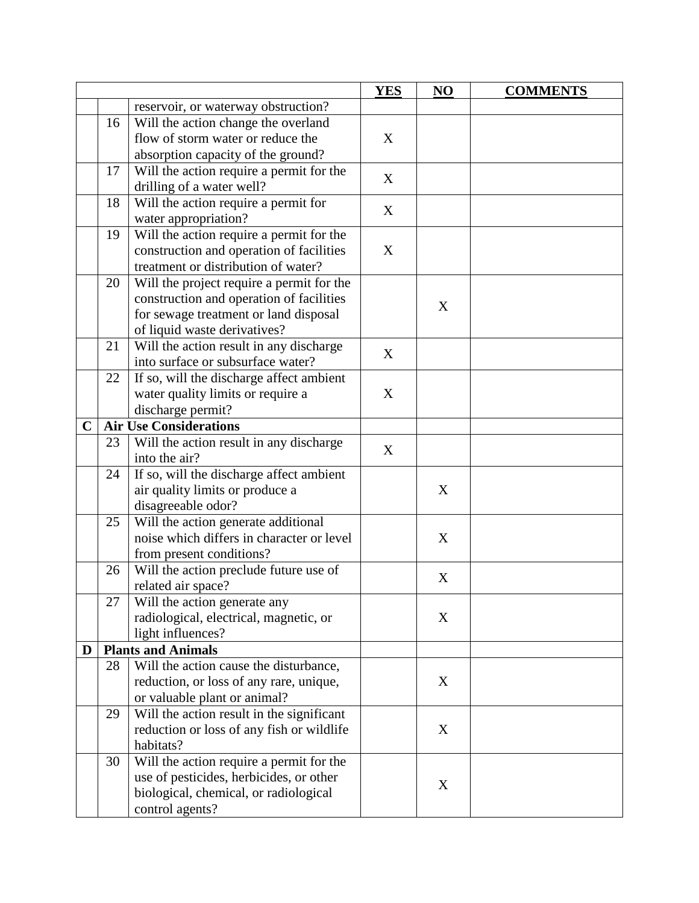|             |    |                                           | <b>YES</b> | NO | <b>COMMENTS</b> |
|-------------|----|-------------------------------------------|------------|----|-----------------|
|             |    | reservoir, or waterway obstruction?       |            |    |                 |
|             | 16 | Will the action change the overland       |            |    |                 |
|             |    | flow of storm water or reduce the         | X          |    |                 |
|             |    | absorption capacity of the ground?        |            |    |                 |
|             | 17 | Will the action require a permit for the  |            |    |                 |
|             |    | drilling of a water well?                 | X          |    |                 |
|             | 18 | Will the action require a permit for      |            |    |                 |
|             |    | water appropriation?                      | X          |    |                 |
|             | 19 | Will the action require a permit for the  |            |    |                 |
|             |    | construction and operation of facilities  | X          |    |                 |
|             |    | treatment or distribution of water?       |            |    |                 |
|             | 20 | Will the project require a permit for the |            |    |                 |
|             |    | construction and operation of facilities  |            |    |                 |
|             |    | for sewage treatment or land disposal     |            | X  |                 |
|             |    | of liquid waste derivatives?              |            |    |                 |
|             | 21 | Will the action result in any discharge   |            |    |                 |
|             |    | into surface or subsurface water?         | X          |    |                 |
|             | 22 | If so, will the discharge affect ambient  |            |    |                 |
|             |    | water quality limits or require a         | X          |    |                 |
|             |    | discharge permit?                         |            |    |                 |
| $\mathbf C$ |    | <b>Air Use Considerations</b>             |            |    |                 |
|             | 23 | Will the action result in any discharge   |            |    |                 |
|             |    | into the air?                             | X          |    |                 |
|             | 24 | If so, will the discharge affect ambient  |            |    |                 |
|             |    | air quality limits or produce a           |            | X  |                 |
|             |    | disagreeable odor?                        |            |    |                 |
|             | 25 | Will the action generate additional       |            |    |                 |
|             |    | noise which differs in character or level |            | X  |                 |
|             |    | from present conditions?                  |            |    |                 |
|             | 26 | Will the action preclude future use of    |            |    |                 |
|             |    | related air space?                        |            | X  |                 |
|             | 27 | Will the action generate any              |            |    |                 |
|             |    | radiological, electrical, magnetic, or    |            | X  |                 |
|             |    | light influences?                         |            |    |                 |
| D           |    | <b>Plants and Animals</b>                 |            |    |                 |
|             | 28 | Will the action cause the disturbance,    |            |    |                 |
|             |    | reduction, or loss of any rare, unique,   |            | X  |                 |
|             |    | or valuable plant or animal?              |            |    |                 |
|             | 29 | Will the action result in the significant |            |    |                 |
|             |    | reduction or loss of any fish or wildlife |            | X  |                 |
|             |    | habitats?                                 |            |    |                 |
|             | 30 | Will the action require a permit for the  |            |    |                 |
|             |    | use of pesticides, herbicides, or other   |            |    |                 |
|             |    | biological, chemical, or radiological     |            | X  |                 |
|             |    | control agents?                           |            |    |                 |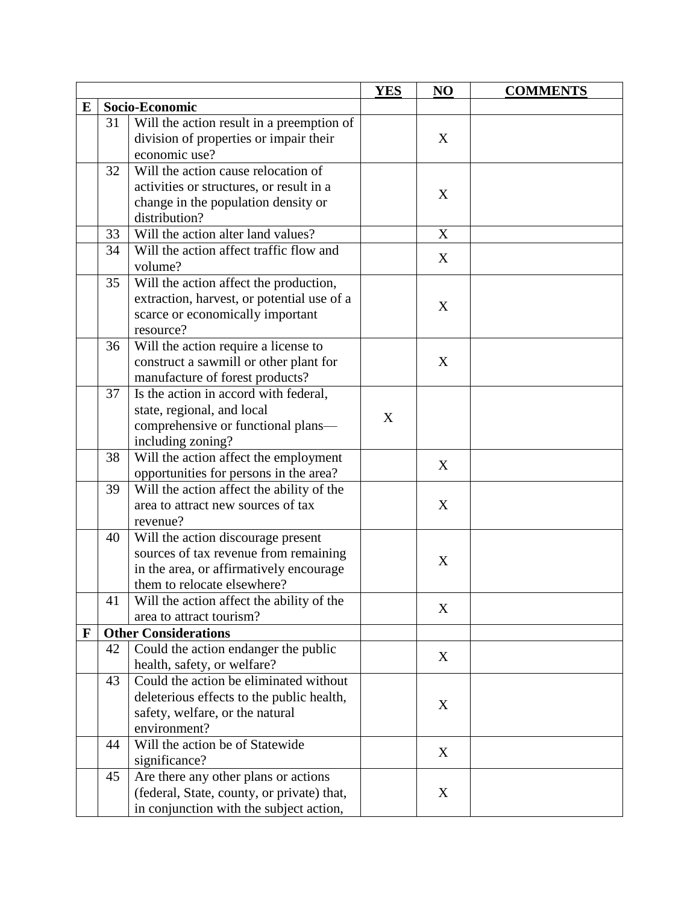|   |                |                                            | <b>YES</b> | NO | <b>COMMENTS</b> |
|---|----------------|--------------------------------------------|------------|----|-----------------|
| E | Socio-Economic |                                            |            |    |                 |
|   | 31             | Will the action result in a preemption of  |            |    |                 |
|   |                | division of properties or impair their     |            | X  |                 |
|   |                | economic use?                              |            |    |                 |
|   | 32             | Will the action cause relocation of        |            |    |                 |
|   |                | activities or structures, or result in a   |            |    |                 |
|   |                | change in the population density or        |            | X  |                 |
|   |                | distribution?                              |            |    |                 |
|   | 33             | Will the action alter land values?         |            | X  |                 |
|   | 34             | Will the action affect traffic flow and    |            |    |                 |
|   |                | volume?                                    |            | X  |                 |
|   | 35             | Will the action affect the production,     |            |    |                 |
|   |                | extraction, harvest, or potential use of a |            |    |                 |
|   |                | scarce or economically important           |            | X  |                 |
|   |                | resource?                                  |            |    |                 |
|   | 36             | Will the action require a license to       |            |    |                 |
|   |                | construct a sawmill or other plant for     |            | X  |                 |
|   |                | manufacture of forest products?            |            |    |                 |
|   | 37             | Is the action in accord with federal,      |            |    |                 |
|   |                | state, regional, and local                 | X          |    |                 |
|   |                | comprehensive or functional plans-         |            |    |                 |
|   |                | including zoning?                          |            |    |                 |
|   | 38             | Will the action affect the employment      |            | X  |                 |
|   |                | opportunities for persons in the area?     |            |    |                 |
|   | 39             | Will the action affect the ability of the  |            |    |                 |
|   |                | area to attract new sources of tax         |            | X  |                 |
|   |                | revenue?                                   |            |    |                 |
|   | 40             | Will the action discourage present         |            |    |                 |
|   |                | sources of tax revenue from remaining      |            | X  |                 |
|   |                | in the area, or affirmatively encourage    |            |    |                 |
|   |                | them to relocate elsewhere?                |            |    |                 |
|   | 41             | Will the action affect the ability of the  |            | X  |                 |
|   |                | area to attract tourism?                   |            |    |                 |
| F |                | <b>Other Considerations</b>                |            |    |                 |
|   | 42             | Could the action endanger the public       |            | X  |                 |
|   |                | health, safety, or welfare?                |            |    |                 |
|   | 43             | Could the action be eliminated without     |            |    |                 |
|   |                | deleterious effects to the public health,  |            | X  |                 |
|   |                | safety, welfare, or the natural            |            |    |                 |
|   |                | environment?                               |            |    |                 |
|   | 44             | Will the action be of Statewide            |            | X  |                 |
|   |                | significance?                              |            |    |                 |
|   | 45             | Are there any other plans or actions       |            |    |                 |
|   |                | (federal, State, county, or private) that, |            | X  |                 |
|   |                | in conjunction with the subject action,    |            |    |                 |